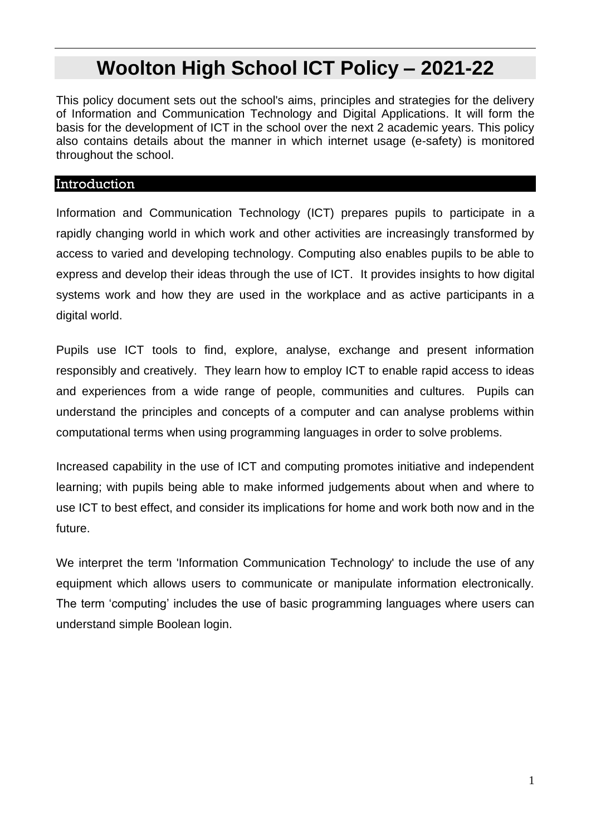# **Woolton High School ICT Policy – 2021-22**

This policy document sets out the school's aims, principles and strategies for the delivery of Information and Communication Technology and Digital Applications. It will form the basis for the development of ICT in the school over the next 2 academic years. This policy also contains details about the manner in which internet usage (e-safety) is monitored throughout the school.

#### Introduction

Information and Communication Technology (ICT) prepares pupils to participate in a rapidly changing world in which work and other activities are increasingly transformed by access to varied and developing technology. Computing also enables pupils to be able to express and develop their ideas through the use of ICT. It provides insights to how digital systems work and how they are used in the workplace and as active participants in a digital world.

Pupils use ICT tools to find, explore, analyse, exchange and present information responsibly and creatively. They learn how to employ ICT to enable rapid access to ideas and experiences from a wide range of people, communities and cultures. Pupils can understand the principles and concepts of a computer and can analyse problems within computational terms when using programming languages in order to solve problems.

Increased capability in the use of ICT and computing promotes initiative and independent learning; with pupils being able to make informed judgements about when and where to use ICT to best effect, and consider its implications for home and work both now and in the future.

We interpret the term 'Information Communication Technology' to include the use of any equipment which allows users to communicate or manipulate information electronically. The term 'computing' includes the use of basic programming languages where users can understand simple Boolean login.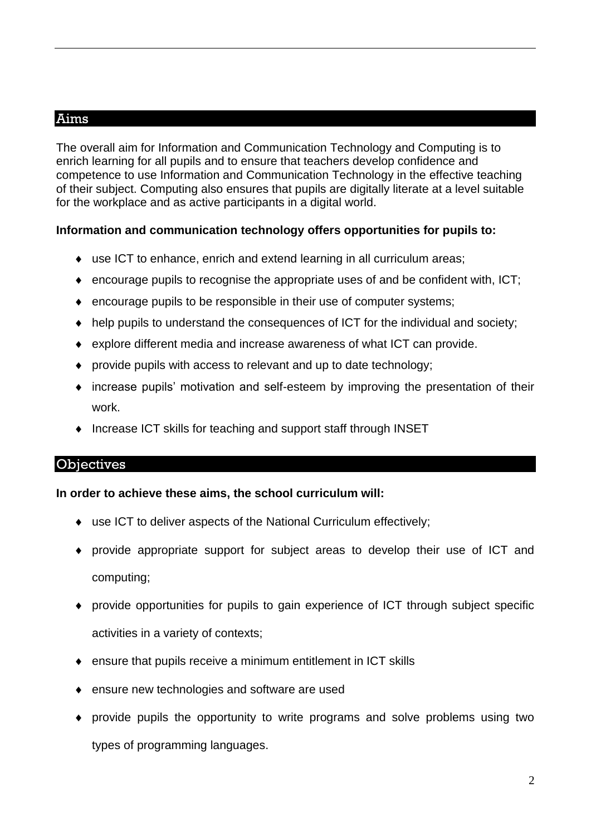## Aims

The overall aim for Information and Communication Technology and Computing is to enrich learning for all pupils and to ensure that teachers develop confidence and competence to use Information and Communication Technology in the effective teaching of their subject. Computing also ensures that pupils are digitally literate at a level suitable for the workplace and as active participants in a digital world.

#### **Information and communication technology offers opportunities for pupils to:**

- use ICT to enhance, enrich and extend learning in all curriculum areas;
- $\bullet$  encourage pupils to recognise the appropriate uses of and be confident with, ICT;
- encourage pupils to be responsible in their use of computer systems;
- help pupils to understand the consequences of ICT for the individual and society;
- explore different media and increase awareness of what ICT can provide.
- provide pupils with access to relevant and up to date technology:
- increase pupils' motivation and self-esteem by improving the presentation of their work.
- Increase ICT skills for teaching and support staff through INSET

# **Objectives**

#### **In order to achieve these aims, the school curriculum will:**

- use ICT to deliver aspects of the National Curriculum effectively;
- provide appropriate support for subject areas to develop their use of ICT and computing;
- provide opportunities for pupils to gain experience of ICT through subject specific activities in a variety of contexts;
- ensure that pupils receive a minimum entitlement in ICT skills
- ◆ ensure new technologies and software are used
- provide pupils the opportunity to write programs and solve problems using two types of programming languages.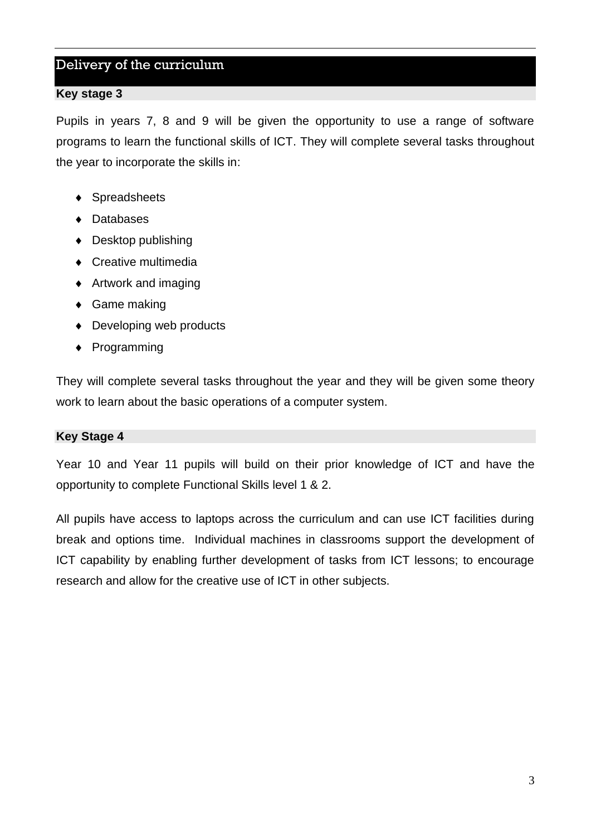## Delivery of the curriculum

#### **Key stage 3**

Pupils in years 7, 8 and 9 will be given the opportunity to use a range of software programs to learn the functional skills of ICT. They will complete several tasks throughout the year to incorporate the skills in:

- ◆ Spreadsheets
- ◆ Databases
- ◆ Desktop publishing
- ◆ Creative multimedia
- ◆ Artwork and imaging
- ◆ Game making
- ◆ Developing web products
- ◆ Programming

They will complete several tasks throughout the year and they will be given some theory work to learn about the basic operations of a computer system.

#### **Key Stage 4**

Year 10 and Year 11 pupils will build on their prior knowledge of ICT and have the opportunity to complete Functional Skills level 1 & 2.

All pupils have access to laptops across the curriculum and can use ICT facilities during break and options time. Individual machines in classrooms support the development of ICT capability by enabling further development of tasks from ICT lessons; to encourage research and allow for the creative use of ICT in other subjects.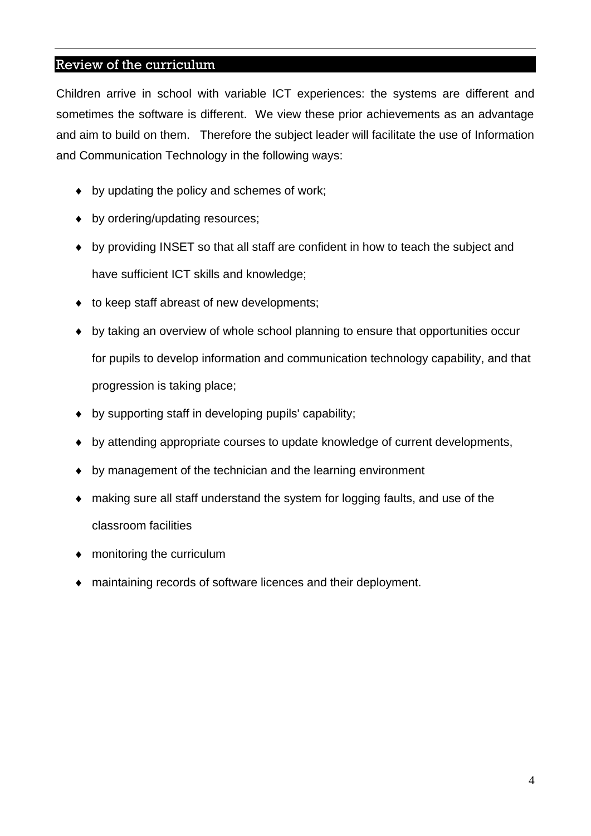## Review of the curriculum

Children arrive in school with variable ICT experiences: the systems are different and sometimes the software is different. We view these prior achievements as an advantage and aim to build on them. Therefore the subject leader will facilitate the use of Information and Communication Technology in the following ways:

- by updating the policy and schemes of work;
- by ordering/updating resources;
- by providing INSET so that all staff are confident in how to teach the subject and have sufficient ICT skills and knowledge;
- $\bullet$  to keep staff abreast of new developments;
- by taking an overview of whole school planning to ensure that opportunities occur for pupils to develop information and communication technology capability, and that progression is taking place;
- by supporting staff in developing pupils' capability;
- by attending appropriate courses to update knowledge of current developments,
- by management of the technician and the learning environment
- making sure all staff understand the system for logging faults, and use of the classroom facilities
- monitoring the curriculum
- maintaining records of software licences and their deployment.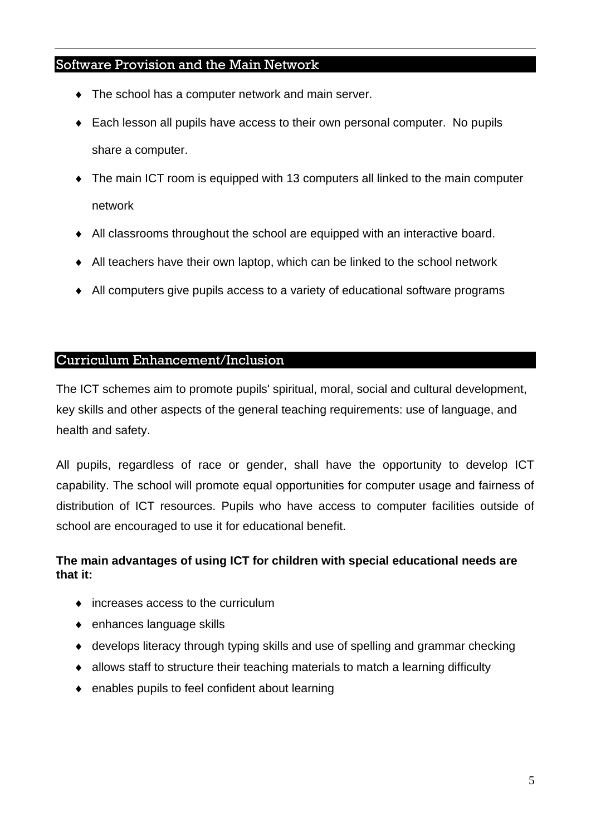## Software Provision and the Main Network

- The school has a computer network and main server.
- Each lesson all pupils have access to their own personal computer. No pupils share a computer.
- The main ICT room is equipped with 13 computers all linked to the main computer network
- All classrooms throughout the school are equipped with an interactive board.
- All teachers have their own laptop, which can be linked to the school network
- All computers give pupils access to a variety of educational software programs

## Curriculum Enhancement/Inclusion

The ICT schemes aim to promote pupils' spiritual, moral, social and cultural development, key skills and other aspects of the general teaching requirements: use of language, and health and safety.

All pupils, regardless of race or gender, shall have the opportunity to develop ICT capability. The school will promote equal opportunities for computer usage and fairness of distribution of ICT resources. Pupils who have access to computer facilities outside of school are encouraged to use it for educational benefit.

#### **The main advantages of using ICT for children with special educational needs are that it:**

- increases access to the curriculum
- ◆ enhances language skills
- develops literacy through typing skills and use of spelling and grammar checking
- allows staff to structure their teaching materials to match a learning difficulty
- enables pupils to feel confident about learning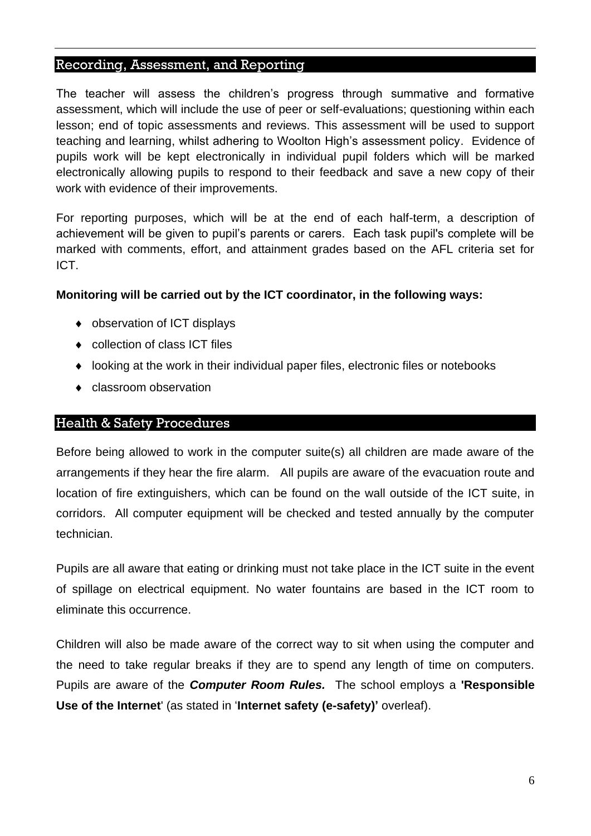#### Recording, Assessment, and Reporting

The teacher will assess the children's progress through summative and formative assessment, which will include the use of peer or self-evaluations; questioning within each lesson; end of topic assessments and reviews. This assessment will be used to support teaching and learning, whilst adhering to Woolton High's assessment policy. Evidence of pupils work will be kept electronically in individual pupil folders which will be marked electronically allowing pupils to respond to their feedback and save a new copy of their work with evidence of their improvements.

For reporting purposes, which will be at the end of each half-term, a description of achievement will be given to pupil's parents or carers. Each task pupil's complete will be marked with comments, effort, and attainment grades based on the AFL criteria set for ICT.

#### **Monitoring will be carried out by the ICT coordinator, in the following ways:**

- observation of ICT displays
- ◆ collection of class ICT files
- looking at the work in their individual paper files, electronic files or notebooks
- classroom observation

#### Health & Safety Procedures

Before being allowed to work in the computer suite(s) all children are made aware of the arrangements if they hear the fire alarm. All pupils are aware of the evacuation route and location of fire extinguishers, which can be found on the wall outside of the ICT suite, in corridors. All computer equipment will be checked and tested annually by the computer technician.

Pupils are all aware that eating or drinking must not take place in the ICT suite in the event of spillage on electrical equipment. No water fountains are based in the ICT room to eliminate this occurrence.

Children will also be made aware of the correct way to sit when using the computer and the need to take regular breaks if they are to spend any length of time on computers. Pupils are aware of the *Computer Room Rules.* The school employs a **'Responsible Use of the Internet**' (as stated in '**Internet safety (e-safety)'** overleaf).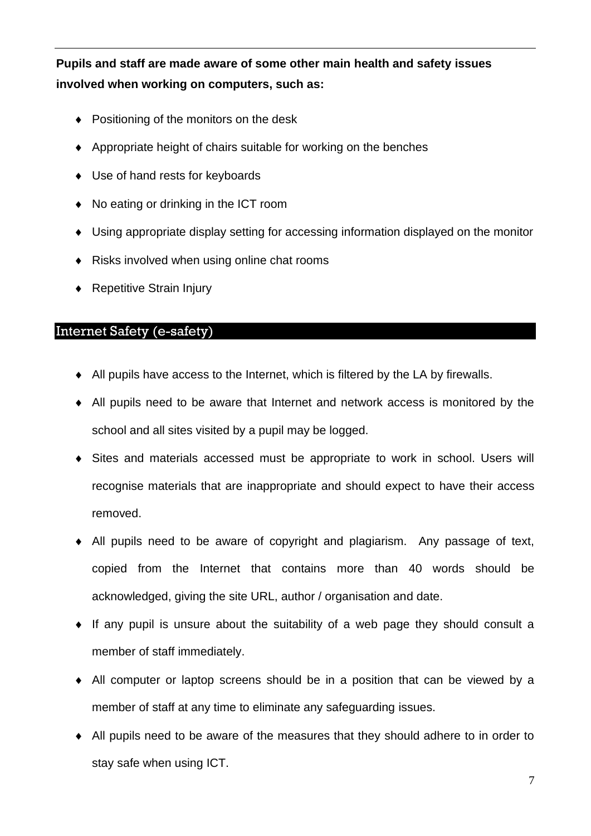**Pupils and staff are made aware of some other main health and safety issues involved when working on computers, such as:**

- Positioning of the monitors on the desk
- Appropriate height of chairs suitable for working on the benches
- ◆ Use of hand rests for keyboards
- ◆ No eating or drinking in the ICT room
- Using appropriate display setting for accessing information displayed on the monitor
- ◆ Risks involved when using online chat rooms
- ◆ Repetitive Strain Injury

## Internet Safety (e-safety)

- All pupils have access to the Internet, which is filtered by the LA by firewalls.
- All pupils need to be aware that Internet and network access is monitored by the school and all sites visited by a pupil may be logged.
- Sites and materials accessed must be appropriate to work in school. Users will recognise materials that are inappropriate and should expect to have their access removed.
- All pupils need to be aware of copyright and plagiarism. Any passage of text, copied from the Internet that contains more than 40 words should be acknowledged, giving the site URL, author / organisation and date.
- $\bullet$  If any pupil is unsure about the suitability of a web page they should consult a member of staff immediately.
- All computer or laptop screens should be in a position that can be viewed by a member of staff at any time to eliminate any safeguarding issues.
- All pupils need to be aware of the measures that they should adhere to in order to stay safe when using ICT.